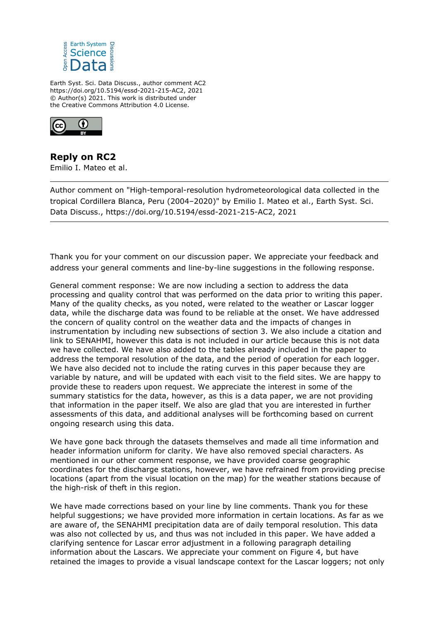

Earth Syst. Sci. Data Discuss., author comment AC2 https://doi.org/10.5194/essd-2021-215-AC2, 2021 © Author(s) 2021. This work is distributed under the Creative Commons Attribution 4.0 License.



**Reply on RC2** Emilio I. Mateo et al.

Author comment on "High-temporal-resolution hydrometeorological data collected in the tropical Cordillera Blanca, Peru (2004–2020)" by Emilio I. Mateo et al., Earth Syst. Sci. Data Discuss., https://doi.org/10.5194/essd-2021-215-AC2, 2021

Thank you for your comment on our discussion paper. We appreciate your feedback and address your general comments and line-by-line suggestions in the following response.

General comment response: We are now including a section to address the data processing and quality control that was performed on the data prior to writing this paper. Many of the quality checks, as you noted, were related to the weather or Lascar logger data, while the discharge data was found to be reliable at the onset. We have addressed the concern of quality control on the weather data and the impacts of changes in instrumentation by including new subsections of section 3. We also include a citation and link to SENAHMI, however this data is not included in our article because this is not data we have collected. We have also added to the tables already included in the paper to address the temporal resolution of the data, and the period of operation for each logger. We have also decided not to include the rating curves in this paper because they are variable by nature, and will be updated with each visit to the field sites. We are happy to provide these to readers upon request. We appreciate the interest in some of the summary statistics for the data, however, as this is a data paper, we are not providing that information in the paper itself. We also are glad that you are interested in further assessments of this data, and additional analyses will be forthcoming based on current ongoing research using this data.

We have gone back through the datasets themselves and made all time information and header information uniform for clarity. We have also removed special characters. As mentioned in our other comment response, we have provided coarse geographic coordinates for the discharge stations, however, we have refrained from providing precise locations (apart from the visual location on the map) for the weather stations because of the high-risk of theft in this region.

We have made corrections based on your line by line comments. Thank you for these helpful suggestions; we have provided more information in certain locations. As far as we are aware of, the SENAHMI precipitation data are of daily temporal resolution. This data was also not collected by us, and thus was not included in this paper. We have added a clarifying sentence for Lascar error adjustment in a following paragraph detailing information about the Lascars. We appreciate your comment on Figure 4, but have retained the images to provide a visual landscape context for the Lascar loggers; not only